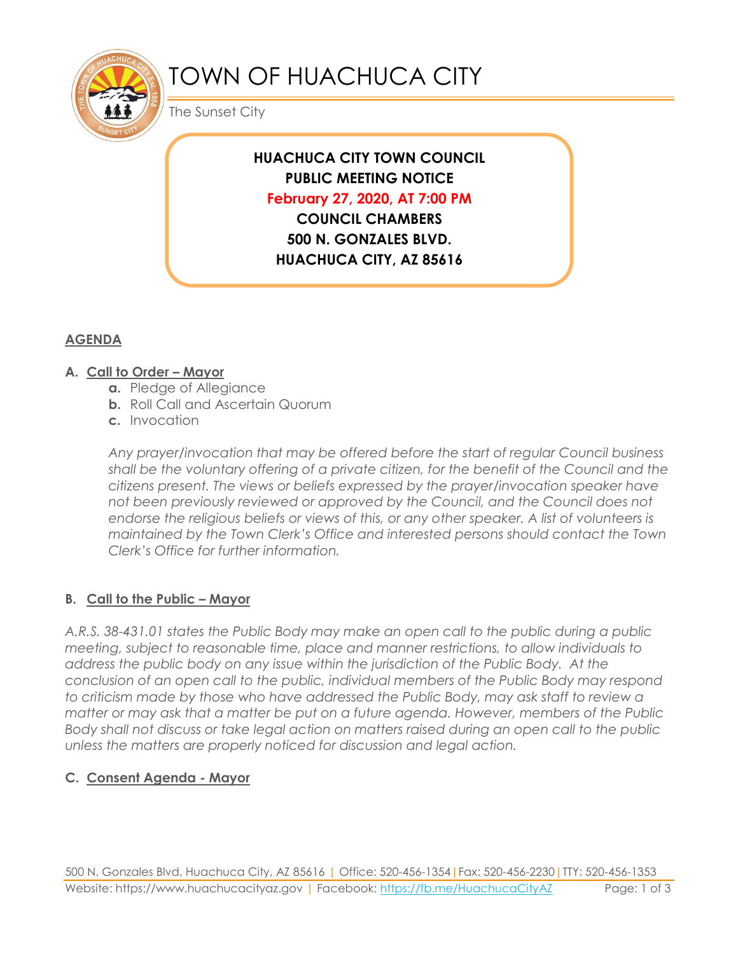

# TOWN OF HUACHUCA CITY

The Sunset City

# **HUACHUCA CITY TOWN COUNCIL PUBLIC MEETING NOTICE February 27, 2020, AT 7:00 PM**

**COUNCIL CHAMBERS 500 N. GONZALES BLVD. HUACHUCA CITY, AZ 85616**

# **AGENDA**

#### **A. Call to Order – Mayor**

- **a.** Pledge of Allegiance
- **b.** Roll Call and Ascertain Quorum
- **c.** Invocation

*Any prayer/invocation that may be offered before the start of regular Council business shall be the voluntary offering of a private citizen, for the benefit of the Council and the citizens present. The views or beliefs expressed by the prayer/invocation speaker have not been previously reviewed or approved by the Council, and the Council does not endorse the religious beliefs or views of this, or any other speaker. A list of volunteers is maintained by the Town Clerk's Office and interested persons should contact the Town Clerk's Office for further information.*

## **B. Call to the Public – Mayor**

*A.R.S. 38-431.01 states the Public Body may make an open call to the public during a public meeting, subject to reasonable time, place and manner restrictions, to allow individuals to address the public body on any issue within the jurisdiction of the Public Body. At the conclusion of an open call to the public, individual members of the Public Body may respond to criticism made by those who have addressed the Public Body, may ask staff to review a matter or may ask that a matter be put on a future agenda. However, members of the Public Body shall not discuss or take legal action on matters raised during an open call to the public unless the matters are properly noticed for discussion and legal action.*

## **C. Consent Agenda - Mayor**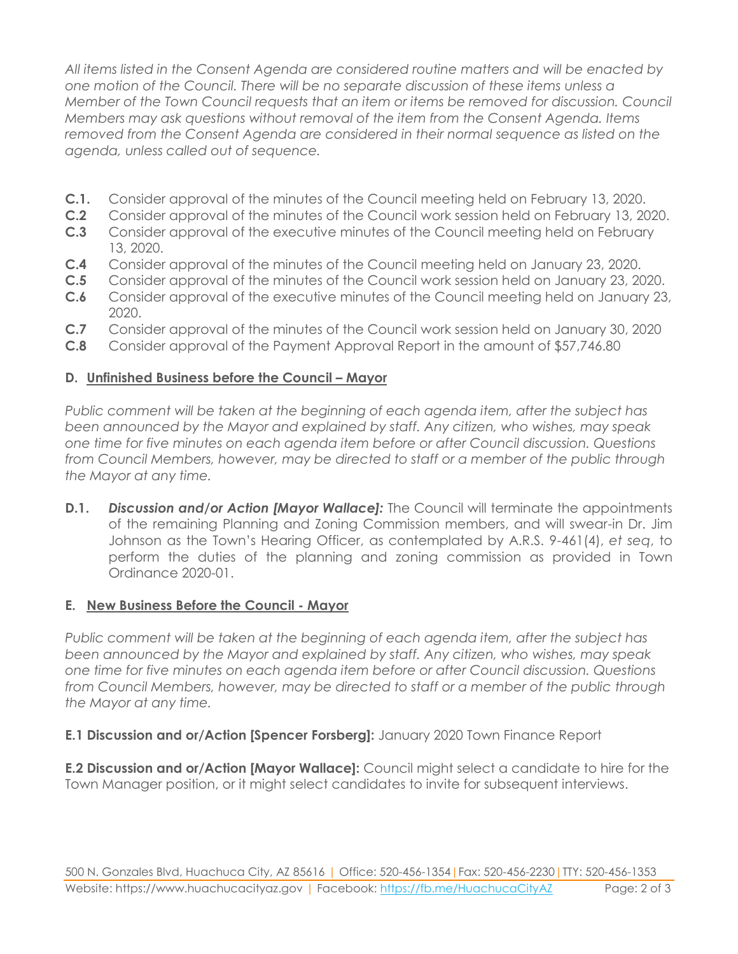*All items listed in the Consent Agenda are considered routine matters and will be enacted by one motion of the Council. There will be no separate discussion of these items unless a Member of the Town Council requests that an item or items be removed for discussion. Council Members may ask questions without removal of the item from the Consent Agenda. Items removed from the Consent Agenda are considered in their normal sequence as listed on the agenda, unless called out of sequence.*

- **C.1.** Consider approval of the minutes of the Council meeting held on February 13, 2020.
- **C.2** Consider approval of the minutes of the Council work session held on February 13, 2020.
- **C.3** Consider approval of the executive minutes of the Council meeting held on February 13, 2020.
- **C.4** Consider approval of the minutes of the Council meeting held on January 23, 2020.
- **C.5** Consider approval of the minutes of the Council work session held on January 23, 2020.
- **C.6** Consider approval of the executive minutes of the Council meeting held on January 23, 2020.
- **C.7** Consider approval of the minutes of the Council work session held on January 30, 2020
- **C.8** Consider approval of the Payment Approval Report in the amount of \$57,746.80

#### **D. Unfinished Business before the Council – Mayor**

*Public comment will be taken at the beginning of each agenda item, after the subject has been announced by the Mayor and explained by staff. Any citizen, who wishes, may speak one time for five minutes on each agenda item before or after Council discussion. Questions from Council Members, however, may be directed to staff or a member of the public through the Mayor at any time.*

**D.1.** *Discussion and/or Action [Mayor Wallace]:* The Council will terminate the appointments of the remaining Planning and Zoning Commission members, and will swear-in Dr. Jim Johnson as the Town's Hearing Officer, as contemplated by A.R.S. 9-461(4), *et seq*, to perform the duties of the planning and zoning commission as provided in Town Ordinance 2020-01.

#### **E. New Business Before the Council - Mayor**

*Public comment will be taken at the beginning of each agenda item, after the subject has been announced by the Mayor and explained by staff. Any citizen, who wishes, may speak one time for five minutes on each agenda item before or after Council discussion. Questions from Council Members, however, may be directed to staff or a member of the public through the Mayor at any time.*

#### **E.1 Discussion and or/Action [Spencer Forsberg]:** January 2020 Town Finance Report

**E.2 Discussion and or/Action [Mayor Wallace]:** Council might select a candidate to hire for the Town Manager position, or it might select candidates to invite for subsequent interviews.